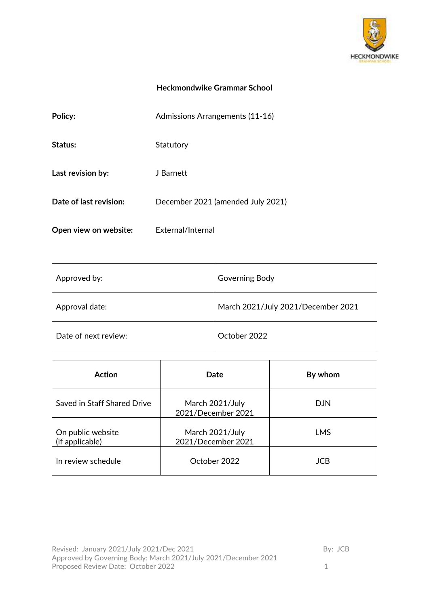

# **Heckmondwike Grammar School**

| Policy:                | Admissions Arrangements (11-16)   |
|------------------------|-----------------------------------|
| Status:                | Statutory                         |
| Last revision by:      | J Barnett                         |
| Date of last revision: | December 2021 (amended July 2021) |
| Open view on website:  | External/Internal                 |

| Approved by:         | Governing Body                     |
|----------------------|------------------------------------|
| Approval date:       | March 2021/July 2021/December 2021 |
| Date of next review: | October 2022                       |

| <b>Action</b>                        | Date                                  | By whom    |
|--------------------------------------|---------------------------------------|------------|
| Saved in Staff Shared Drive          | March 2021/July<br>2021/December 2021 | <b>DJN</b> |
| On public website<br>(if applicable) | March 2021/July<br>2021/December 2021 | <b>LMS</b> |
| In review schedule                   | October 2022                          | <b>JCB</b> |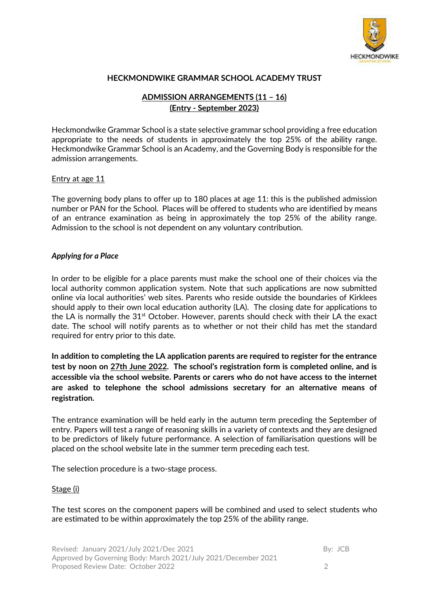

### **HECKMONDWIKE GRAMMAR SCHOOL ACADEMY TRUST**

## **ADMISSION ARRANGEMENTS (11 – 16) (Entry - September 2023)**

Heckmondwike Grammar School is a state selective grammar school providing a free education appropriate to the needs of students in approximately the top 25% of the ability range. Heckmondwike Grammar School is an Academy, and the Governing Body is responsible for the admission arrangements.

#### Entry at age 11

The governing body plans to offer up to 180 places at age 11: this is the published admission number or PAN for the School. Places will be offered to students who are identified by means of an entrance examination as being in approximately the top 25% of the ability range. Admission to the school is not dependent on any voluntary contribution.

#### *Applying for a Place*

In order to be eligible for a place parents must make the school one of their choices via the local authority common application system. Note that such applications are now submitted online via local authorities' web sites. Parents who reside outside the boundaries of Kirklees should apply to their own local education authority (LA). The closing date for applications to the LA is normally the  $31<sup>st</sup>$  October. However, parents should check with their LA the exact date. The school will notify parents as to whether or not their child has met the standard required for entry prior to this date.

**In addition to completing the LA application parents are required to register for the entrance test by noon on 27th June 2022. The school's registration form is completed online, and is accessible via the school website. Parents or carers who do not have access to the internet are asked to telephone the school admissions secretary for an alternative means of registration.** 

The entrance examination will be held early in the autumn term preceding the September of entry. Papers will test a range of reasoning skills in a variety of contexts and they are designed to be predictors of likely future performance. A selection of familiarisation questions will be placed on the school website late in the summer term preceding each test.

The selection procedure is a two-stage process.

#### Stage (i)

The test scores on the component papers will be combined and used to select students who are estimated to be within approximately the top 25% of the ability range.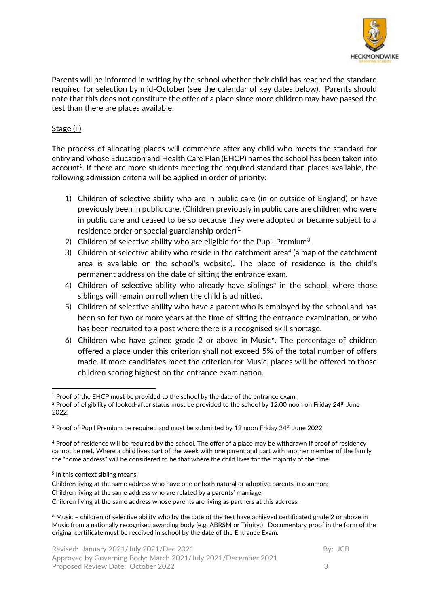

Parents will be informed in writing by the school whether their child has reached the standard required for selection by mid-October (see the calendar of key dates below). Parents should note that this does not constitute the offer of a place since more children may have passed the test than there are places available.

### Stage (ii)

The process of allocating places will commence after any child who meets the standard for entry and whose Education and Health Care Plan (EHCP) names the school has been taken into account<sup>1</sup>. If there are more students meeting the required standard than places available, the following admission criteria will be applied in order of priority:

- 1) Children of selective ability who are in public care (in or outside of England) or have previously been in public care. (Children previously in public care are children who were in public care and ceased to be so because they were adopted or became subject to a residence order or special guardianship order) <sup>2</sup>
- 2) Children of selective ability who are eligible for the Pupil Premium<sup>3</sup>.
- 3) Children of selective ability who reside in the catchment area<sup>4</sup> (a map of the catchment area is available on the school's website). The place of residence is the child's permanent address on the date of sitting the entrance exam.
- 4) Children of selective ability who already have siblings<sup>5</sup> in the school, where those siblings will remain on roll when the child is admitted.
- 5) Children of selective ability who have a parent who is employed by the school and has been so for two or more years at the time of sitting the entrance examination, or who has been recruited to a post where there is a recognised skill shortage.
- 6) Children who have gained grade 2 or above in Music<sup>6</sup>. The percentage of children offered a place under this criterion shall not exceed 5% of the total number of offers made. If more candidates meet the criterion for Music, places will be offered to those children scoring highest on the entrance examination.

<sup>&</sup>lt;u>.</u>  $1$  Proof of the EHCP must be provided to the school by the date of the entrance exam.

 $^2$  Proof of eligibility of looked-after status must be provided to the school by 12.00 noon on Friday 24<sup>th</sup> June 2022.

 $3$  Proof of Pupil Premium be required and must be submitted by 12 noon Friday 24<sup>th</sup> June 2022.

<sup>4</sup> Proof of residence will be required by the school. The offer of a place may be withdrawn if proof of residency cannot be met. Where a child lives part of the week with one parent and part with another member of the family the "home address" will be considered to be that where the child lives for the majority of the time.

<sup>5</sup> In this context sibling means:

Children living at the same address who have one or both natural or adoptive parents in common; Children living at the same address who are related by a parents' marriage;

Children living at the same address whose parents are living as partners at this address.

 $6$  Music – children of selective ability who by the date of the test have achieved certificated grade 2 or above in Music from a nationally recognised awarding body (e.g. ABRSM or Trinity.) Documentary proof in the form of the original certificate must be received in school by the date of the Entrance Exam.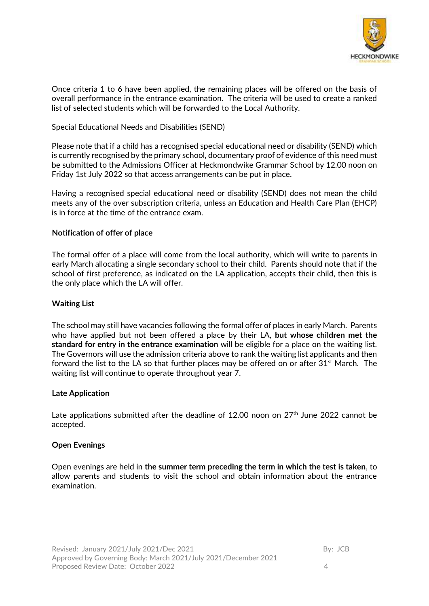

Once criteria 1 to 6 have been applied, the remaining places will be offered on the basis of overall performance in the entrance examination. The criteria will be used to create a ranked list of selected students which will be forwarded to the Local Authority.

Special Educational Needs and Disabilities (SEND)

Please note that if a child has a recognised special educational need or disability (SEND) which is currently recognised by the primary school, documentary proof of evidence of this need must be submitted to the Admissions Officer at Heckmondwike Grammar School by 12.00 noon on Friday 1st July 2022 so that access arrangements can be put in place.

Having a recognised special educational need or disability (SEND) does not mean the child meets any of the over subscription criteria, unless an Education and Health Care Plan (EHCP) is in force at the time of the entrance exam.

### **Notification of offer of place**

The formal offer of a place will come from the local authority, which will write to parents in early March allocating a single secondary school to their child. Parents should note that if the school of first preference, as indicated on the LA application, accepts their child, then this is the only place which the LA will offer.

### **Waiting List**

The school may still have vacancies following the formal offer of places in early March. Parents who have applied but not been offered a place by their LA, **but whose children met the standard for entry in the entrance examination** will be eligible for a place on the waiting list. The Governors will use the admission criteria above to rank the waiting list applicants and then forward the list to the LA so that further places may be offered on or after  $31<sup>st</sup>$  March. The waiting list will continue to operate throughout year 7.

### **Late Application**

Late applications submitted after the deadline of 12.00 noon on  $27<sup>th</sup>$  June 2022 cannot be accepted.

### **Open Evenings**

Open evenings are held in **the summer term preceding the term in which the test is taken**, to allow parents and students to visit the school and obtain information about the entrance examination.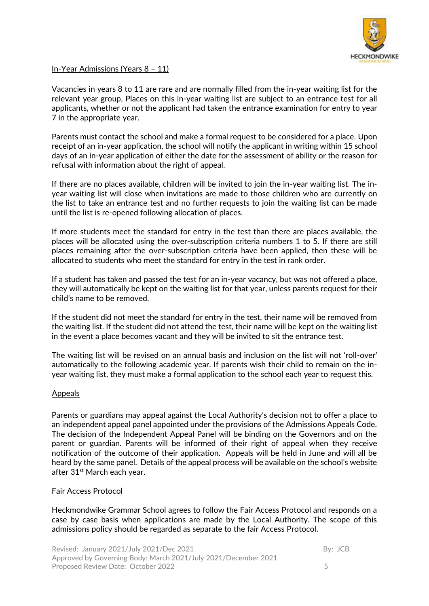

### In-Year Admissions (Years 8 – 11)

Vacancies in years 8 to 11 are rare and are normally filled from the in-year waiting list for the relevant year group, Places on this in-year waiting list are subject to an entrance test for all applicants, whether or not the applicant had taken the entrance examination for entry to year 7 in the appropriate year.

Parents must contact the school and make a formal request to be considered for a place. Upon receipt of an in-year application, the school will notify the applicant in writing within 15 school days of an in-year application of either the date for the assessment of ability or the reason for refusal with information about the right of appeal.

If there are no places available, children will be invited to join the in-year waiting list. The inyear waiting list will close when invitations are made to those children who are currently on the list to take an entrance test and no further requests to join the waiting list can be made until the list is re-opened following allocation of places.

If more students meet the standard for entry in the test than there are places available, the places will be allocated using the over-subscription criteria numbers 1 to 5. If there are still places remaining after the over-subscription criteria have been applied, then these will be allocated to students who meet the standard for entry in the test in rank order.

If a student has taken and passed the test for an in-year vacancy, but was not offered a place, they will automatically be kept on the waiting list for that year, unless parents request for their child's name to be removed.

If the student did not meet the standard for entry in the test, their name will be removed from the waiting list. If the student did not attend the test, their name will be kept on the waiting list in the event a place becomes vacant and they will be invited to sit the entrance test.

The waiting list will be revised on an annual basis and inclusion on the list will not 'roll-over' automatically to the following academic year. If parents wish their child to remain on the inyear waiting list, they must make a formal application to the school each year to request this.

#### Appeals

Parents or guardians may appeal against the Local Authority's decision not to offer a place to an independent appeal panel appointed under the provisions of the Admissions Appeals Code. The decision of the Independent Appeal Panel will be binding on the Governors and on the parent or guardian. Parents will be informed of their right of appeal when they receive notification of the outcome of their application. Appeals will be held in June and will all be heard by the same panel. Details of the appeal process will be available on the school's website after 31<sup>st</sup> March each year.

### Fair Access Protocol

Heckmondwike Grammar School agrees to follow the Fair Access Protocol and responds on a case by case basis when applications are made by the Local Authority. The scope of this admissions policy should be regarded as separate to the fair Access Protocol.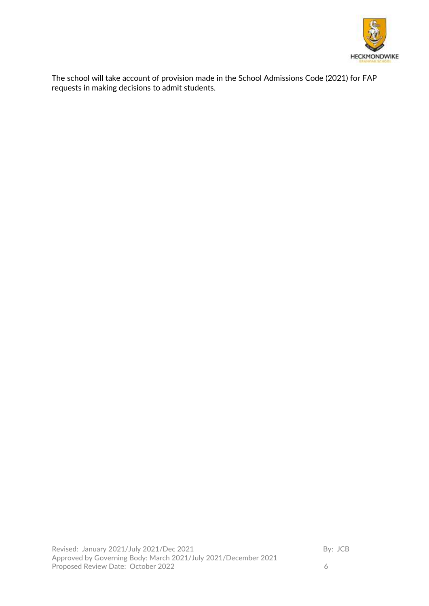

The school will take account of provision made in the School Admissions Code (2021) for FAP requests in making decisions to admit students.